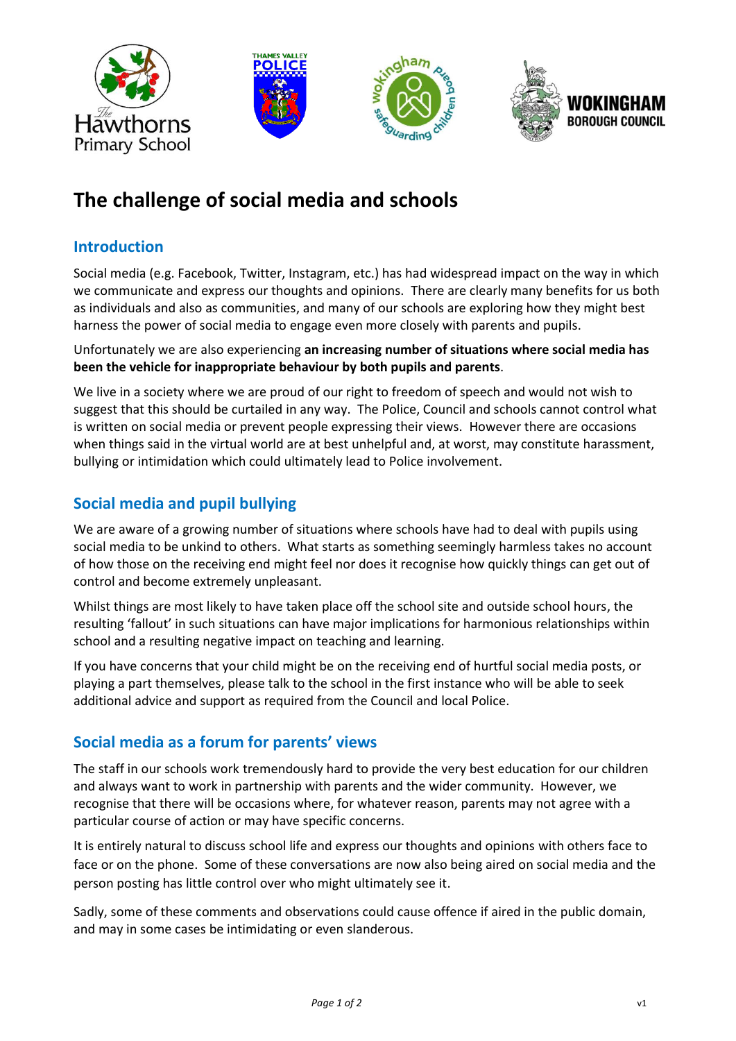

# **The challenge of social media and schools**

## **Introduction**

Social media (e.g. Facebook, Twitter, Instagram, etc.) has had widespread impact on the way in which we communicate and express our thoughts and opinions. There are clearly many benefits for us both as individuals and also as communities, and many of our schools are exploring how they might best harness the power of social media to engage even more closely with parents and pupils.

#### Unfortunately we are also experiencing **an increasing number of situations where social media has been the vehicle for inappropriate behaviour by both pupils and parents**.

We live in a society where we are proud of our right to freedom of speech and would not wish to suggest that this should be curtailed in any way. The Police, Council and schools cannot control what is written on social media or prevent people expressing their views. However there are occasions when things said in the virtual world are at best unhelpful and, at worst, may constitute harassment, bullying or intimidation which could ultimately lead to Police involvement.

# **Social media and pupil bullying**

We are aware of a growing number of situations where schools have had to deal with pupils using social media to be unkind to others. What starts as something seemingly harmless takes no account of how those on the receiving end might feel nor does it recognise how quickly things can get out of control and become extremely unpleasant.

Whilst things are most likely to have taken place off the school site and outside school hours, the resulting 'fallout' in such situations can have major implications for harmonious relationships within school and a resulting negative impact on teaching and learning.

If you have concerns that your child might be on the receiving end of hurtful social media posts, or playing a part themselves, please talk to the school in the first instance who will be able to seek additional advice and support as required from the Council and local Police.

# **Social media as a forum for parents' views**

The staff in our schools work tremendously hard to provide the very best education for our children and always want to work in partnership with parents and the wider community. However, we recognise that there will be occasions where, for whatever reason, parents may not agree with a particular course of action or may have specific concerns.

It is entirely natural to discuss school life and express our thoughts and opinions with others face to face or on the phone. Some of these conversations are now also being aired on social media and the person posting has little control over who might ultimately see it.

Sadly, some of these comments and observations could cause offence if aired in the public domain, and may in some cases be intimidating or even slanderous.